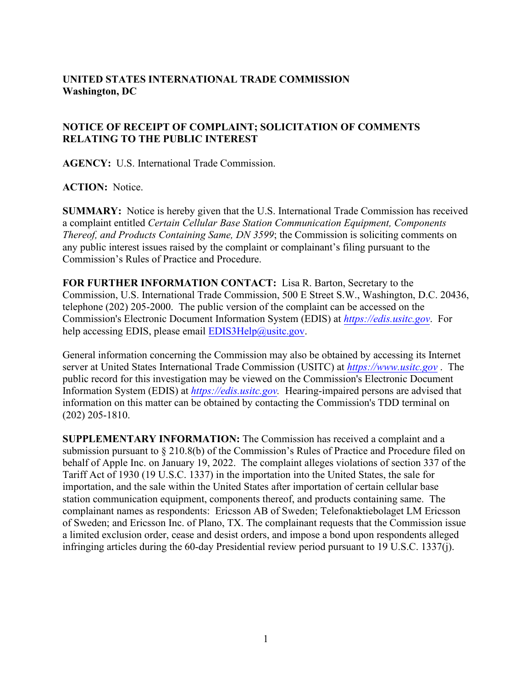## **UNITED STATES INTERNATIONAL TRADE COMMISSION Washington, DC**

## **NOTICE OF RECEIPT OF COMPLAINT; SOLICITATION OF COMMENTS RELATING TO THE PUBLIC INTEREST**

**AGENCY:** U.S. International Trade Commission.

**ACTION:** Notice.

**SUMMARY:** Notice is hereby given that the U.S. International Trade Commission has received a complaint entitled *Certain Cellular Base Station Communication Equipment, Components Thereof, and Products Containing Same, DN 3599*; the Commission is soliciting comments on any public interest issues raised by the complaint or complainant's filing pursuant to the Commission's Rules of Practice and Procedure.

**FOR FURTHER INFORMATION CONTACT:** Lisa R. Barton, Secretary to the Commission, U.S. International Trade Commission, 500 E Street S.W., Washington, D.C. 20436, telephone (202) 205-2000. The public version of the complaint can be accessed on the Commission's Electronic Document Information System (EDIS) at *[https://edis.usitc.gov](https://edis.usitc.gov/)*. For help accessing EDIS, please email EDIS3Help@usitc.gov.

General information concerning the Commission may also be obtained by accessing its Internet server at United States International Trade Commission (USITC) at *[https://www.usitc.gov](https://www.usitc.gov/)* . The public record for this investigation may be viewed on the Commission's Electronic Document Information System (EDIS) at *[https://edis.usitc.gov.](https://edis.usitc.gov/)* Hearing-impaired persons are advised that information on this matter can be obtained by contacting the Commission's TDD terminal on (202) 205-1810.

**SUPPLEMENTARY INFORMATION:** The Commission has received a complaint and a submission pursuant to § 210.8(b) of the Commission's Rules of Practice and Procedure filed on behalf of Apple Inc. on January 19, 2022. The complaint alleges violations of section 337 of the Tariff Act of 1930 (19 U.S.C. 1337) in the importation into the United States, the sale for importation, and the sale within the United States after importation of certain cellular base station communication equipment, components thereof, and products containing same. The complainant names as respondents: Ericsson AB of Sweden; Telefonaktiebolaget LM Ericsson of Sweden; and Ericsson Inc. of Plano, TX. The complainant requests that the Commission issue a limited exclusion order, cease and desist orders, and impose a bond upon respondents alleged infringing articles during the 60-day Presidential review period pursuant to 19 U.S.C. 1337(j).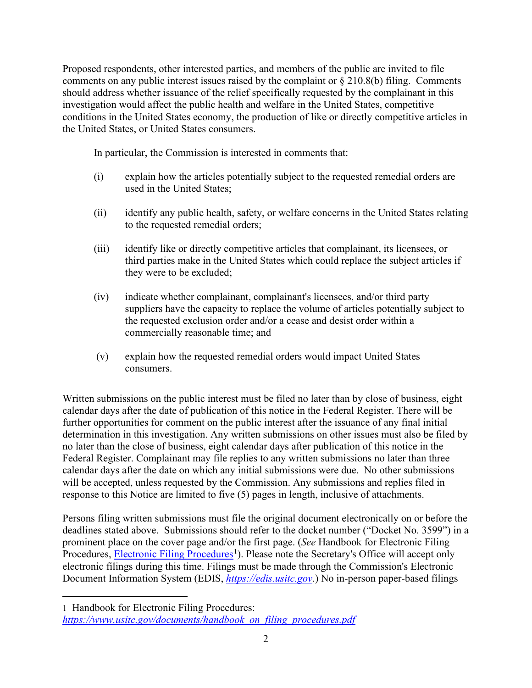Proposed respondents, other interested parties, and members of the public are invited to file comments on any public interest issues raised by the complaint or § 210.8(b) filing. Comments should address whether issuance of the relief specifically requested by the complainant in this investigation would affect the public health and welfare in the United States, competitive conditions in the United States economy, the production of like or directly competitive articles in the United States, or United States consumers.

In particular, the Commission is interested in comments that:

- (i) explain how the articles potentially subject to the requested remedial orders are used in the United States;
- (ii) identify any public health, safety, or welfare concerns in the United States relating to the requested remedial orders;
- (iii) identify like or directly competitive articles that complainant, its licensees, or third parties make in the United States which could replace the subject articles if they were to be excluded;
- (iv) indicate whether complainant, complainant's licensees, and/or third party suppliers have the capacity to replace the volume of articles potentially subject to the requested exclusion order and/or a cease and desist order within a commercially reasonable time; and
- (v) explain how the requested remedial orders would impact United States consumers.

Written submissions on the public interest must be filed no later than by close of business, eight calendar days after the date of publication of this notice in the Federal Register. There will be further opportunities for comment on the public interest after the issuance of any final initial determination in this investigation. Any written submissions on other issues must also be filed by no later than the close of business, eight calendar days after publication of this notice in the Federal Register. Complainant may file replies to any written submissions no later than three calendar days after the date on which any initial submissions were due. No other submissions will be accepted, unless requested by the Commission. Any submissions and replies filed in response to this Notice are limited to five (5) pages in length, inclusive of attachments.

Persons filing written submissions must file the original document electronically on or before the deadlines stated above. Submissions should refer to the docket number ("Docket No. 3599") in a prominent place on the cover page and/or the first page. (*See* Handbook for Electronic Filing Procedures, **Electronic Filing Procedures**<sup>[1](#page-1-0)</sup>). Please note the Secretary's Office will accept only electronic filings during this time. Filings must be made through the Commission's Electronic Document Information System (EDIS, *[https://edis.usitc.gov](https://edis.usitc.gov/)*.) No in-person paper-based filings

<span id="page-1-0"></span><sup>1</sup> Handbook for Electronic Filing Procedures: *[https://www.usitc.gov/documents/handbook\\_on\\_filing\\_procedures.pdf](https://www.usitc.gov/documents/handbook_on_filing_procedures.pdf)*